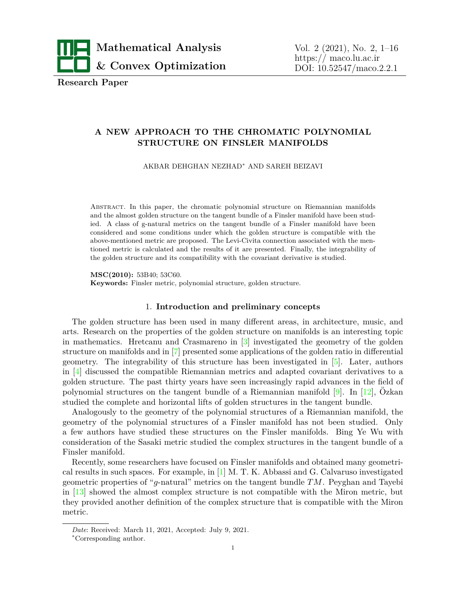

**Research Paper**

# **A NEW APPROACH TO THE CHROMATIC POLYNOMIAL STRUCTURE ON FINSLER MANIFOLDS**

AKBAR DEHGHAN NEZHAD*<sup>∗</sup>* AND SAREH BEIZAVI

Abstract. In this paper, the chromatic polynomial structure on Riemannian manifolds and the almost golden structure on the tangent bundle of a Finsler manifold have been studied. A class of g-natural metrics on the tangent bundle of a Finsler manifold have been considered and some conditions under which the golden structure is compatible with the above-mentioned metric are proposed. The Levi-Civita connection associated with the mentioned metric is calculated and the results of it are presented. Finally, the integrability of the golden structure and its compatibility with the covariant derivative is studied.

**MSC(2010):** 53B40; 53C60. **Keywords:** Finsler metric, polynomial structure, golden structure.

# 1. **Introduction and preliminary concepts**

The golden structure has been used in many different areas, in architecture, music, and arts. Research on the properties of the golden structure on manifolds is an interesting topic in mathematics. Hretcanu and Crasmareno in [\[3\]](#page-15-0) investigated the geometry of the golden structure on manifolds and in [\[7\]](#page-15-1) presented some applications of the golden ratio in differential geometry. The integrability of this structure has been investigated in [\[5\]](#page-15-2). Later, authors in [[4\]](#page-15-3) discussed the compatible Riemannian metrics and adapted covariant derivatives to a golden structure. The past thirty years have seen increasingly rapid advances in the field of polynomial structures on the tangent bundle of a Riemannian manifold  $[9]$  $[9]$ . In [\[12\]](#page-15-5), Ozkan studied the complete and horizontal lifts of golden structures in the tangent bundle.

Analogously to the geometry of the polynomial structures of a Riemannian manifold, the geometry of the polynomial structures of a Finsler manifold has not been studied. Only a few authors have studied these structures on the Finsler manifolds. Bing Ye Wu with consideration of the Sasaki metric studied the complex structures in the tangent bundle of a Finsler manifold.

Recently, some researchers have focused on Finsler manifolds and obtained many geometrical results in such spaces. For example, in [[1](#page-15-6)] M. T. K. Abbassi and G. Calvaruso investigated geometric properties of "*g*-natural" metrics on the tangent bundle *TM*. Peyghan and Tayebi in [[13](#page-15-7)] showed the almost complex structure is not compatible with the Miron metric, but they provided another definition of the complex structure that is compatible with the Miron metric.

*Date*: Received: March 11, 2021, Accepted: July 9, 2021.

*<sup>∗</sup>*Corresponding author.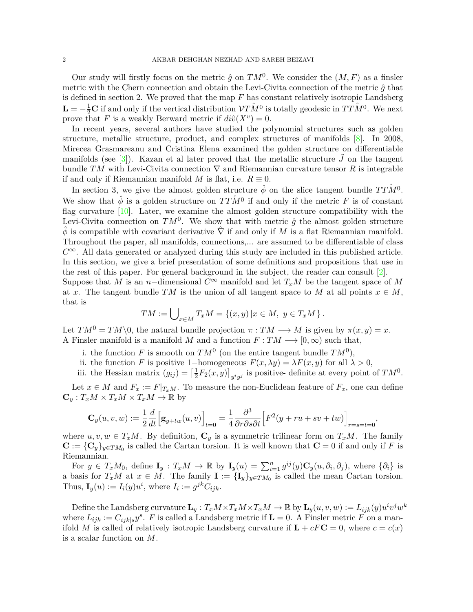Our study will firstly focus on the metric  $\hat{g}$  on  $TM^0$ . We consider the  $(M, F)$  as a finsler metric with the Chern connection and obtain the Levi-Civita connection of the metric *g*ˆ that is defined in section 2. We proved that the map *F* has constant relatively isotropic Landsberg  $\mathbf{L} = -\frac{1}{2}\mathbf{C}$  if and only if the vertical distribution  $\mathcal{V}T\hat{M}^0$  is totally geodesic in  $TT\hat{M}^0$ . We next prove that *F* is a weakly Berward metric if  $di\hat{v}(X^v) = 0$ .

In recent years, several authors have studied the polynomial structures such as golden structure, metallic structure, product, and complex structures of manifolds [[8](#page-15-8)]. In 2008, Mirecea Grasmareanu and Cristina Elena examined the golden structure on differentiable manifolds (see  $\lceil 3 \rceil$ ). Kazan et al later proved that the metallic structure *J* on the tangent bundle *TM* with Levi-Civita connection *∇* and Riemannian curvature tensor *R* is integrable if and only if Riemannian manifold *M* is flat, i.e.  $R \equiv 0$ .

In section 3, we give the almost golden structure  $\hat{\phi}$  on the slice tangent bundle  $TT\hat{M}^0$ . We show that  $\hat{\phi}$  is a golden structure on  $TT\hat{M}^0$  if and only if the metric *F* is of constant flag curvature [\[10](#page-15-9)]. Later, we examine the almost golden structure compatibility with the Levi-Civita connection on  $TM^0$ . We show that with metric  $\hat{g}$  the almost golden structure *ϕ*ˆ is compatible with covariant derivative *∇*ˆ if and only if *M* is a flat Riemannian manifold. Throughout the paper, all manifolds, connections,... are assumed to be differentiable of class  $C^{\infty}$ . All data generated or analyzed during this study are included in this published article. In this section, we give a brief presentation of some definitions and propositions that use in the rest of this paper. For general background in the subject, the reader can consult [[2](#page-15-10)]. Suppose that *M* is an *n*<sup>−</sup>dimensional  $C^{\infty}$  manifold and let  $T_xM$  be the tangent space of M at *x*. The tangent bundle  $TM$  is the union of all tangent space to M at all points  $x \in M$ , that is

$$
TM := \bigcup\nolimits_{x \in M} T_x M = \{(x, y) \mid x \in M, y \in T_x M\}.
$$

Let  $TM^0 = TM \setminus 0$ , the natural bundle projection  $\pi : TM \longrightarrow M$  is given by  $\pi(x, y) = x$ . A Finsler manifold is a manifold *M* and a function  $F: TM \longrightarrow [0, \infty)$  such that,

- i. the function *F* is smooth on  $TM^0$  (on the entire tangent bundle  $TM^0$ ),
- ii. the function *F* is positive 1*−*homogeneous  $F(x, \lambda y) = \lambda F(x, y)$  for all  $\lambda > 0$ ,
- iii. the Hessian matrix  $(g_{ij}) = \left[\frac{1}{2}\right]$  $\frac{1}{2}F_2(x,y)$ <sub>y<sup>i</sup>y</sub><sub>j</sub> is positive- definite at every point of  $TM^0$ .

Let  $x \in M$  and  $F_x := F|_{T_xM}$ . To measure the non-Euclidean feature of  $F_x$ , one can define  $\mathbf{C}_y : T_xM \times T_xM \times T_xM \to \mathbb{R}$  by

$$
\mathbf{C}_y(u,v,w):=\frac{1}{2}\frac{d}{dt}\Big[\mathbf{g}_{y+tw}(u,v)\Big]_{t=0}=\frac{1}{4}\frac{\partial^3}{\partial r\partial s\partial t}\Big[F^2(y+ru+sv+tw)\Big]_{r=s=t=0},
$$

where  $u, v, w \in T_xM$ . By definition,  $\mathbf{C}_y$  is a symmetric trilinear form on  $T_xM$ . The family  $\mathbf{C} := {\{\mathbf{C}_y\}}_{y \in TM_0}$  is called the Cartan torsion. It is well known that  $\mathbf{C} = 0$  if and only if *F* is Riemannian.

For  $y \in T_xM_0$ , define  $\mathbf{I}_y : T_xM \to \mathbb{R}$  by  $\mathbf{I}_y(u) = \sum_{i=1}^n g^{ij}(y) \mathbf{C}_y(u, \partial_i, \partial_j)$ , where  $\{\partial_i\}$  is a basis for  $T_xM$  at  $x \in M$ . The family  $\mathbf{I} := {\{\mathbf{I}_y\}}_{y \in TM_0}$  is called the mean Cartan torsion. Thus,  $\mathbf{I}_y(u) := I_i(y)u^i$ , where  $I_i := g^{jk}C_{ijk}$ .

Define the Landsberg curvature  $\mathbf{L}_y : T_xM \times T_xM \times T_xM \to \mathbb{R}$  by  $\mathbf{L}_y(u, v, w) := L_{ijk}(y)u^iv^jw^k$ where  $L_{ijk} := C_{ijk|s} y^s$ . *F* is called a Landsberg metric if  $\mathbf{L} = 0$ . A Finsler metric *F* on a manifold *M* is called of relatively isotropic Landsberg curvature if  $\mathbf{L} + cF\mathbf{C} = 0$ , where  $c = c(x)$ is a scalar function on *M*.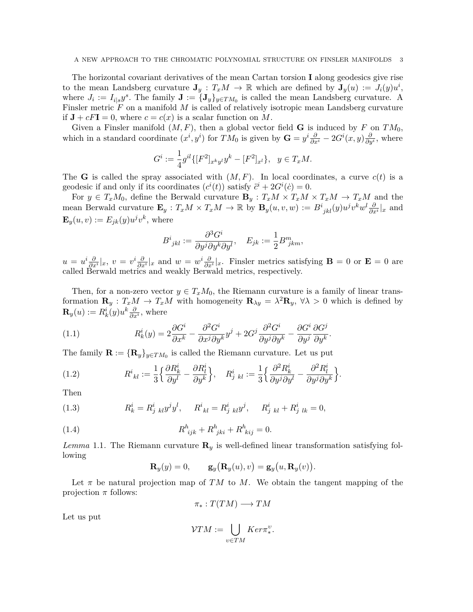The horizontal covariant derivatives of the mean Cartan torsion **I** along geodesics give rise to the mean Landsberg curvature  $J_y$  :  $T_xM \to \mathbb{R}$  which are defined by  $J_y(u) := J_i(y)u^i$ , where  $J_i := I_{i|s}y^s$ . The family  $\mathbf{J} := \{\mathbf{J}_y\}_{y \in TM_0}$  is called the mean Landsberg curvature. A Finsler metric F on a manifold M is called of relatively isotropic mean Landsberg curvature if  $J + cF I = 0$ , where  $c = c(x)$  is a scalar function on M.

Given a Finsler manifold  $(M, F)$ , then a global vector field **G** is induced by F on  $TM_0$ , which in a standard coordinate  $(x^i, y^i)$  for  $TM_0$  is given by  $\mathbf{G} = y^i \frac{\partial}{\partial x^i} - 2G^i(x, y) \frac{\partial}{\partial y^i}$ , where

$$
G^i := \frac{1}{4} g^{il} \{ [F^2]_{x^k y^l} y^k - [F^2]_{x^l} \}, \ \ y \in T_x M.
$$

The **G** is called the spray associated with  $(M, F)$ . In local coordinates, a curve  $c(t)$  is a geodesic if and only if its coordinates  $(c^{i}(t))$  satisfy  $\ddot{c}^{i} + 2G^{i}(\dot{c}) = 0$ .

For  $y \in T_xM_0$ , define the Berwald curvature  $\mathbf{B}_y : T_xM \times T_xM \times T_xM \to T_xM$  and the mean Berwald curvature  $\mathbf{E}_y : T_xM \times T_xM \to \mathbb{R}$  by  $\mathbf{B}_y(u, v, w) := B^i_{jkl}(y)u^jv^kw^l\frac{\partial}{\partial x^i}|_x$  and  $\mathbf{E}_y(u, v) := E_{jk}(y)u^jv^k$ , where

$$
B^i_{\;jkl}:=\frac{\partial^3 G^i}{\partial y^j \partial y^k \partial y^l}, \quad E_{jk}:=\frac{1}{2}B^m_{\;jkm},
$$

 $u = u^i \frac{\partial}{\partial x^i}|_x, v = v^i \frac{\partial}{\partial x^i}|_x$  and  $w = w^i \frac{\partial}{\partial x^i}|_x$ . Finsler metrics satisfying  $\mathbf{B} = 0$  or  $\mathbf{E} = 0$  are called Berwald metrics and weakly Berwald metrics, respectively.

Then, for a non-zero vector  $y \in T_xM_0$ , the Riemann curvature is a family of linear transformation  $\mathbf{R}_y$  :  $T_xM \to T_xM$  with homogeneity  $\mathbf{R}_{\lambda y} = \lambda^2 \mathbf{R}_y$ ,  $\forall \lambda > 0$  which is defined by  $\mathbf{R}_y(u) := R^i_k(y)u^k \frac{\partial}{\partial x^i}$ , where

(1.1) 
$$
R_k^i(y) = 2\frac{\partial G^i}{\partial x^k} - \frac{\partial^2 G^i}{\partial x^j \partial y^k} y^j + 2G^j \frac{\partial^2 G^i}{\partial y^j \partial y^k} - \frac{\partial G^i}{\partial y^j} \frac{\partial G^j}{\partial y^k}.
$$

The family  $\mathbf{R} := {\mathbf{R}_y}_{y \in TM_0}$  is called the Riemann curvature. Let us put

(1.2) 
$$
R^i_{\ kl} := \frac{1}{3} \Big\{ \frac{\partial R^i_k}{\partial y^l} - \frac{\partial R^i_l}{\partial y^k} \Big\}, \quad R^i_{j\ kl} := \frac{1}{3} \Big\{ \frac{\partial^2 R^i_k}{\partial y^j \partial y^l} - \frac{\partial^2 R^i_l}{\partial y^j \partial y^k} \Big\}.
$$

Then

(1.3) 
$$
R_k^i = R_{j \; kl}^i y^j y^l, \quad R_{\; kl}^i = R_{j \; kl}^i y^j, \quad R_{j \; kl}^i + R_{j \; lk}^i = 0,
$$

(1.4) 
$$
R^{h}_{ijk} + R^{h}_{jki} + R^{h}_{kij} = 0.
$$

*Lemma* 1.1*.* The Riemann curvature **R***<sup>y</sup>* is well-defined linear transformation satisfying following

$$
\mathbf{R}_y(y) = 0, \qquad \mathbf{g}_y(\mathbf{R}_y(u), v) = \mathbf{g}_y(u, \mathbf{R}_y(v)).
$$

Let  $\pi$  be natural projection map of *TM* to *M*. We obtain the tangent mapping of the projection *π* follows:

$$
\pi_*: T(TM) \longrightarrow TM
$$

Let us put

$$
\mathcal{V}TM := \bigcup_{v \in TM} Ker \pi^v_*.
$$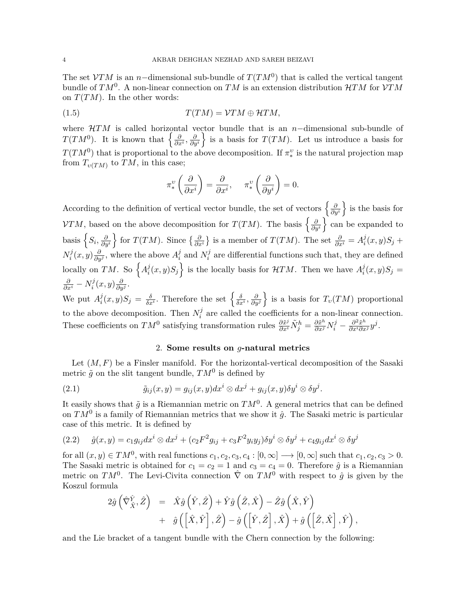The set *VTM* is an *n−*dimensional sub-bundle of *T*(*TM*<sup>0</sup> ) that is called the vertical tangent bundle of *TM*<sup>0</sup> . A non-linear connection on *TM* is an extension distribution *HTM* for *VTM* on  $T(TM)$ . In the other words:

$$
T(TM) = \mathcal{V}TM \oplus \mathcal{H}TM,
$$

where *HTM* is called horizontal vector bundle that is an *n−*dimensional sub-bundle of *T*(*TM*<sup>0</sup>). It is known that  $\left\{\frac{\partial}{\partial x^i}, \frac{\partial}{\partial y^i}\right\}$ is a basis for  $T(TM)$ . Let us introduce a basis for  $T(TM^0)$  that is proportional to the above decomposition. If  $\pi_*^v$ *∗* is the natural projection map from  $T_{\nu(TM)}$  to  $TM$ , in this case;

$$
\pi_*^v \left( \frac{\partial}{\partial x^i} \right) = \frac{\partial}{\partial x^i}, \quad \pi_*^v \left( \frac{\partial}{\partial y^i} \right) = 0.
$$

According to the definition of vertical vector bundle, the set of vectors  $\left\{\frac{\partial}{\partial y^i}\right\}$ } is the basis for *VTM*, based on the above decomposition for *T*(*TM*). The basis  $\left\{\frac{\partial}{\partial y^i}\right\}$ } can be expanded to basis  $\left\{S_i, \frac{\partial}{\partial y^i}\right\}$ for *T*(*TM*). Since  $\{\frac{\partial}{\partial x^i}\}$  is a member of *T*(*TM*). The set  $\frac{\partial}{\partial x^i} = A_i^j$  $S_i^j(x,y)S_j +$  $N_i^j$  $\frac{d}{dt}$ <sup>*j*</sup> $(x, y)$ </sup> $\frac{\partial}{\partial y^j}$ , where the above  $A_i^j$  $\frac{j}{i}$  and  $N_i^j$  $i$ <sup>
a</sup>
are differential functions such that, they are defined locally on *TM*. So  $\left\{ A_i^j \right\}$  $\left\{ \frac{i}{i}(x,y)S_j \right\}$  is the locally basis for  $HTM$ . Then we have  $A_i^j$  $\int_i^j (x, y) S_j =$ *∂ ∂x<sup>i</sup> − N j*  $i^j(x, y) \frac{\partial}{\partial y^j}$ .

We put  $A_i^j$  $\frac{j}{i}(x,y)S_j = \frac{\delta}{\delta x^i}$ . Therefore the set  $\left\{\frac{\delta}{\delta x^i}, \frac{\partial}{\partial y^j}\right\}$  $\}$  is a basis for  $T_\nu(TM)$  proportional to the above decomposition. Then  $N_i^j$  $i$ <sup>
a</sup>
are called the coefficients for a non-linear connection. These coefficients on  $TM^0$  satisfying transformation rules  $\frac{\partial \tilde{x}^j}{\partial x^i} \tilde{N}_j^h = \frac{\partial \tilde{x}^h}{\partial x^j} N_i^j - \frac{\partial^2 \tilde{x}^h}{\partial x^i \partial x^j} y^j$ .

## 2. **Some results on** *g***-natural metrics**

Let  $(M, F)$  be a Finsler manifold. For the horizontal-vertical decomposition of the Sasaki metric  $\tilde{g}$  on the slit tangent bundle,  $TM^0$  is defined by

(2.1) 
$$
\tilde{g}_{ij}(x,y) = g_{ij}(x,y)dx^{i} \otimes dx^{j} + g_{ij}(x,y)\delta y^{i} \otimes \delta y^{j}.
$$

It easily shows that  $\tilde{g}$  is a Riemannian metric on  $TM^0$ . A general metrics that can be defined on  $TM^0$  is a family of Riemannian metrics that we show it  $\hat{g}$ . The Sasaki metric is particular case of this metric. It is defined by

$$
(2.2) \quad \hat{g}(x,y) = c_1 g_{ij} dx^i \otimes dx^j + (c_2 F^2 g_{ij} + c_3 F^2 y_i y_j) \delta y^i \otimes \delta y^j + c_4 g_{ij} dx^i \otimes \delta y^j
$$

for all  $(x, y) \in TM^0$ , with real functions  $c_1, c_2, c_3, c_4 : [0, \infty] \longrightarrow [0, \infty]$  such that  $c_1, c_2, c_3 > 0$ . The Sasaki metric is obtained for  $c_1 = c_2 = 1$  and  $c_3 = c_4 = 0$ . Therefore  $\hat{g}$  is a Riemannian metric on  $TM^0$ . The Levi-Civita connection  $\hat{\nabla}$  on  $TM^0$  with respect to  $\hat{g}$  is given by the Koszul formula

$$
\begin{array}{rcl} 2\hat{g} \left(\hat{\nabla}^{\hat{Y}}_{\hat{X}},\hat{Z}\right) & = & \hat{X}\hat{g} \left(\hat{Y},\hat{Z}\right)+\hat{Y}\hat{g} \left(\hat{Z},\hat{X}\right)-\hat{Z}\hat{g} \left(\hat{X},\hat{Y}\right) \\ & & + & \hat{g} \left(\left[\hat{X},\hat{Y}\right],\hat{Z}\right)-\hat{g} \left(\left[\hat{Y},\hat{Z}\right],\hat{X}\right)+\hat{g} \left(\left[\hat{Z},\hat{X}\right],\hat{Y}\right), \end{array}
$$

and the Lie bracket of a tangent bundle with the Chern connection by the following: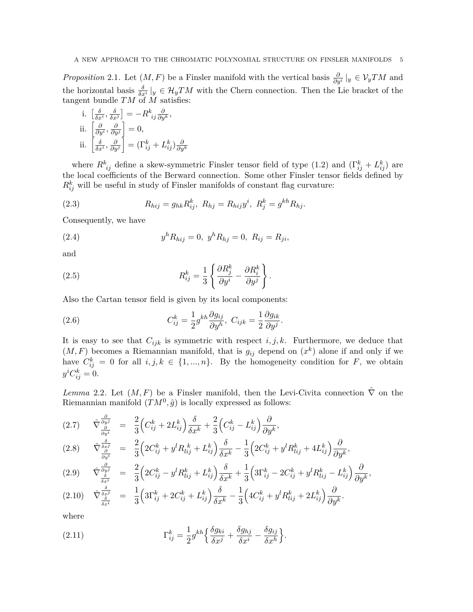*Proposition* 2.1. Let  $(M, F)$  be a Finsler manifold with the vertical basis  $\frac{\partial}{\partial y^i}|_y \in V_yTM$  and the horizontal basis  $\frac{\delta}{\delta x^i}|_y \in \mathcal{H}_yTM$  with the Chern connection. Then the Lie bracket of the tangent bundle *TM* of *M* satisfies:

i. 
$$
\left[\frac{\delta}{\delta x^i}, \frac{\delta}{\delta x^j}\right] = -R^k_{ij} \frac{\partial}{\partial y^k},
$$
  
\nii.  $\left[\frac{\partial}{\partial y^i}, \frac{\partial}{\partial y^j}\right] = 0,$   
\nii.  $\left[\frac{\delta}{\delta x^i}, \frac{\partial}{\partial y^j}\right] = \left(\Gamma^k_{ij} + L^k_{ij}\right) \frac{\partial}{\partial y^k}$ 

where  $R^k_{ij}$  define a skew-symmetric Finsler tensor field of type (1.2) and  $(\Gamma^k_{ij} + L^k_{ij})$  are the local coefficients of the Berward connection. Some other Finsler tensor fields defined by  $R_{ij}^k$  will be useful in study of Finsler manifolds of constant flag curvature:

(2.3) 
$$
R_{hij} = g_{hk} R_{ij}^k, \ R_{hj} = R_{hij} y^i, \ R_j^k = g^{kh} R_{hj}.
$$

Consequently, we have

(2.4) 
$$
y^h R_{hij} = 0, \ y^h R_{hj} = 0, \ R_{ij} = R_{ji},
$$

and

(2.5) 
$$
R_{ij}^k = \frac{1}{3} \left\{ \frac{\partial R_j^k}{\partial y^i} - \frac{\partial R_i^k}{\partial y^j} \right\}.
$$

Also the Cartan tensor field is given by its local components:

(2.6) 
$$
C_{ij}^k = \frac{1}{2} g^{kh} \frac{\partial g_{ij}}{\partial y^h}, \ C_{ijk} = \frac{1}{2} \frac{\partial g_{ik}}{\partial y^j}.
$$

It is easy to see that  $C_{ijk}$  is symmetric with respect  $i, j, k$ . Furthermore, we deduce that  $(M, F)$  becomes a Riemannian manifold, that is  $g_{ij}$  depend on  $(x^k)$  alone if and only if we have  $C_{ij}^k = 0$  for all  $i, j, k \in \{1, ..., n\}$ . By the homogeneity condition for *F*, we obtain  $y^i C^k_{ij} = 0.$ 

*Lemma* 2.2. Let  $(M, F)$  be a Finsler manifold, then the Levi-Civita connection  $\hat{\nabla}$  on the Riemannian manifold  $(TM^0, \hat{g})$  is locally expressed as follows:

<span id="page-4-0"></span>
$$
(2.7) \qquad \hat{\nabla} \frac{\frac{\partial}{\partial y^j}}{\frac{\partial}{\partial y^i}} = \frac{2}{3} \Big( C_{ij}^k + 2L_{ij}^k \Big) \frac{\delta}{\delta x^k} + \frac{2}{3} \Big( C_{ij}^k - L_{ij}^k \Big) \frac{\partial}{\partial y^k},
$$

$$
(2.8) \qquad \hat{\nabla}_{\frac{\partial}{\partial y^{i}}}^{\frac{\delta}{\delta x^{j}}} = \frac{2}{3} \Big( 2C_{ij}^{k} + y^{l} R_{lij}^{k} + L_{ij}^{k} \Big) \frac{\delta}{\delta x^{k}} - \frac{1}{3} \Big( 2C_{ij}^{k} + y^{l} R_{lij}^{k} + 4L_{ij}^{k} \Big) \frac{\partial}{\partial y^{k}},
$$

$$
(2.9) \qquad \hat{\nabla} \frac{\frac{\partial}{\partial y^j}}{\frac{\delta}{\delta x^i}} = \frac{2}{3} \left( 2C_{ij}^k - y^l R_{lij}^k + L_{ij}^k \right) \frac{\delta}{\delta x^k} + \frac{1}{3} \left( 3\Gamma_{ij}^k - 2C_{ij}^k + y^l R_{lij}^k - L_{ij}^k \right) \frac{\partial}{\partial y^k},
$$

$$
(2.10) \quad \hat{\nabla} \frac{\frac{\delta}{\delta x^j}}{\frac{\delta}{\delta x^i}} = \frac{1}{3} \Big( 3\Gamma_{ij}^k + 2C_{ij}^k + L_{ij}^k \Big) \frac{\delta}{\delta x^k} - \frac{1}{3} \Big( 4C_{ij}^k + y^l R_{lij}^k + 2L_{ij}^k \Big) \frac{\partial}{\partial y^k}.
$$

where

(2.11) 
$$
\Gamma_{ij}^k = \frac{1}{2} g^{kh} \left\{ \frac{\delta g_{ki}}{\delta x^j} + \frac{\delta g_{hj}}{\delta x^i} - \frac{\delta g_{ij}}{\delta x^h} \right\}.
$$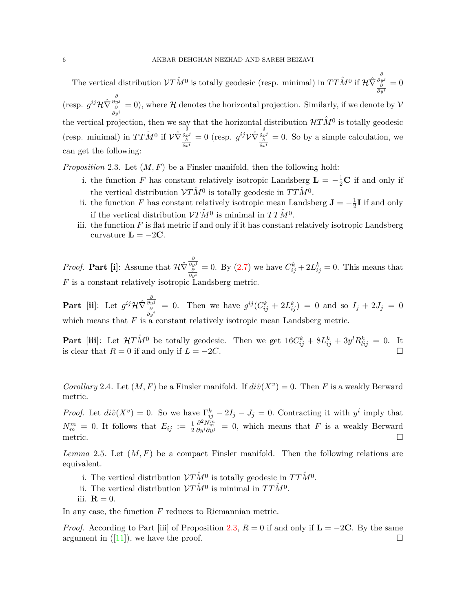The vertical distribution  $VT\hat{M}^0$  is totally geodesic (resp. minimal) in  $TT\hat{M}^0$  if  $\mathcal{H}\hat{\nabla}_{\frac{\partial}{\partial y^i}}^{\frac{\partial}{\partial y^j}}$  $= 0$  $(i)$  (resp.  $g^{ij}\mathcal{H}\hat{\nabla}^{\frac{\partial}{\partial y^j}}=0$ ), where  $\mathcal H$  denotes the horizontal projection. Similarly, if we denote by  $\mathcal V$ *∂y<sup>i</sup>*<br>
the vertical projection, then we say that the horizontal distribution  $\mathcal{H}T\hat{M}^0$  is totally geodesic (resp. minimal) in  $TT\hat{M}^0$  if  $\mathcal{V}\hat{\nabla} \frac{\delta \hat{\sigma} \hat{\sigma}^0}{\delta x^i}$  $= 0$  (resp.  $g^{ij}V\hat{\nabla}\frac{\delta}{\delta x^j}$  $= 0$ . So by a simple calculation, we can get the following:

<span id="page-5-0"></span>*Proposition* 2.3*.* Let (*M, F*) be a Finsler manifold, then the following hold:

- i. the function *F* has constant relatively isotropic Landsberg  $\mathbf{L} = -\frac{1}{2}\mathbf{C}$  if and only if the vertical distribution  $VT\hat{M}^0$  is totally geodesic in  $TT\hat{M}^0$ .
- ii. the function *F* has constant relatively isotropic mean Landsberg  $\mathbf{J} = -\frac{1}{2}$  $\frac{1}{2}$ **I** if and only if the vertical distribution  $VT\hat{M}^0$  is minimal in  $TT\hat{M}^0$ .
- iii. the function  $F$  is flat metric if and only if it has constant relatively isotropic Landsberg curvature  $\mathbf{L} = -2\mathbf{C}$ .

*Proof.* **Part** [**i**]: Assume that  $\mathcal{H}\hat{\nabla}\frac{\partial \psi}{\partial y^i}$ = 0. By ([2.7\)](#page-4-0) we have  $C_{ij}^k + 2L_{ij}^k = 0$ . This means that *F* is a constant relatively isotropic Landsberg metric.

**Part [ii]**: Let  $g^{ij}\mathcal{H}\hat{\nabla}\frac{\partial}{\partial y^j} = 0$ . Then we have  $g^{ij}(C_{ij}^k + 2L_{ij}^k) = 0$  and so  $I_j + 2J_j = 0$ which means that *F* is a constant relatively isotropic mean Landsberg metric.

**Part** [iii]: Let  $H\hat{T}M^0$  be totally geodesic. Then we get  $16C_{ij}^k + 8L_{ij}^k + 3y^lR_{lij}^k = 0$ . It is clear that  $R = 0$  if and only if  $L = -2C$ . □

*Corollary* 2.4. Let  $(M, F)$  be a Finsler manifold. If  $di\hat{v}(X^v) = 0$ . Then *F* is a weakly Berward metric.

*Proof.* Let  $di\hat{v}(X^v) = 0$ . So we have  $\Gamma_{ij}^k - 2I_j - J_j = 0$ . Contracting it with  $y^i$  imply that  $N_m^m = 0$ . It follows that  $E_{ij} := \frac{1}{2}$  $\frac{\partial^2 N_m^m}{\partial y^i \partial y^j} = 0$ , which means that *F* is a weakly Berward metric.  $\Box$ 

*Lemma* 2.5*.* Let (*M, F*) be a compact Finsler manifold. Then the following relations are equivalent.

- i. The vertical distribution  $VT\hat{M}^0$  is totally geodesic in  $TT\hat{M}^0$ .
- ii. The vertical distribution  $V\hat{T}M^0$  is minimal in  $TT\hat{M}^0$ .
- iii.  $\mathbf{R} = 0$ .

In any case, the function *F* reduces to Riemannian metric.

*Proof.* According to Part [iii] of Proposition [2.3](#page-5-0),  $R = 0$  if and only if  $\mathbf{L} = -2\mathbf{C}$ . By the same argument in  $([11])$  $([11])$  $([11])$ , we have the proof. □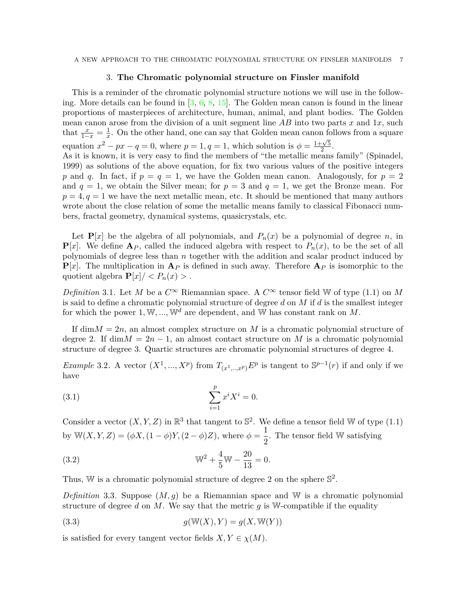A NEW APPROACH TO THE CHROMATIC POLYNOMIAL STRUCTURE ON FINSLER MANIFOLDS 7

## 3. **The Chromatic polynomial structure on Finsler manifold**

This is a reminder of the chromatic polynomial structure notions we will use in the following. More details can be found in[[3](#page-15-0), [6](#page-15-12), [8](#page-15-8), [15\]](#page-15-13). The Golden mean canon is found in the linear proportions of masterpieces of architecture, human, animal, and plant bodies. The Golden mean canon arose from the division of a unit segment line *AB* into two parts *x* and 1*x*, such that  $\frac{x}{1-x} = \frac{1}{x}$  $\frac{1}{x}$ . On the other hand, one can say that Golden mean canon follows from a square equation  $x^2 - px - q = 0$ , where  $p = 1, q = 1$ , which solution is  $\phi = \frac{1+\sqrt{5}}{2}$  $\frac{\sqrt{5}}{2}$ . As it is known, it is very easy to find the members of "the metallic means family" (Spinadel, 1999) as solutions of the above equation, for fix two various values of the positive integers p and q. In fact, if  $p = q = 1$ , we have the Golden mean canon. Analogously, for  $p = 2$ and  $q = 1$ , we obtain the Silver mean; for  $p = 3$  and  $q = 1$ , we get the Bronze mean. For  $p = 4, q = 1$  we have the next metallic mean, etc. It should be mentioned that many authors wrote about the close relation of some the metallic means family to classical Fibonacci numbers, fractal geometry, dynamical systems, quasicrystals, etc.

Let  $P[x]$  be the algebra of all polynomials, and  $P_n(x)$  be a polynomial of degree *n*, in  ${\bf P}[x]$ . We define  ${\bf A}_P$ , called the induced algebra with respect to  $P_n(x)$ , to be the set of all polynomials of degree less than *n* together with the addition and scalar product induced by  $P[x]$ . The multiplication in  $A_P$  is defined in such away. Therefore  $A_P$  is isomorphic to the quotient algebra  $\mathbf{P}[x]/\langle P_n(x)\rangle$ .

*Definition* 3.1. Let *M* be a  $C^{\infty}$  Riemannian space. A  $C^{\infty}$  tensor field W of type (1.1) on *M* is said to define a chromatic polynomial structure of degree *d* on *M* if *d* is the smallest integer for which the power  $1, \mathbb{W}, \ldots, \mathbb{W}^d$  are dependent, and  $\mathbb{W}$  has constant rank on  $M$ .

If dim $M = 2n$ , an almost complex structure on M is a chromatic polynomial structure of degree 2. If  $\dim M = 2n - 1$ , an almost contact structure on M is a chromatic polynomial structure of degree 3. Quartic structures are chromatic polynomial structures of degree 4.

*Example* 3.2. A vector  $(X^1, ..., X^p)$  from  $T_{(x^1, ..., x^p)}E^p$  is tangent to  $\mathbb{S}^{p-1}(r)$  if and only if we have

(3.1) 
$$
\sum_{i=1}^{p} x^{i} X^{i} = 0.
$$

Consider a vector  $(X, Y, Z)$  in  $\mathbb{R}^3$  that tangent to  $\mathbb{S}^2$ . We define a tensor field W of type (1.1) by  $W(X, Y, Z) = (\phi X, (1 - \phi)Y, (2 - \phi)Z)$ , where  $\phi = \frac{1}{2}$  $\frac{1}{2}$ . The tensor field W satisfying

(3.2) 
$$
\mathbb{W}^2 + \frac{4}{5}\mathbb{W} - \frac{20}{13} = 0.
$$

Thus, W is a chromatic polynomial structure of degree 2 on the sphere  $\mathbb{S}^2$ .

*Definition* 3.3*.* Suppose (*M, g*) be a Riemannian space and W is a chromatic polynomial structure of degree  $d$  on  $M$ . We say that the metric  $q$  is W-compatible if the equality

<span id="page-6-0"></span>
$$
(3.3) \t\t g(\mathbb{W}(X), Y) = g(X, \mathbb{W}(Y))
$$

is satisfied for every tangent vector fields  $X, Y \in \chi(M)$ .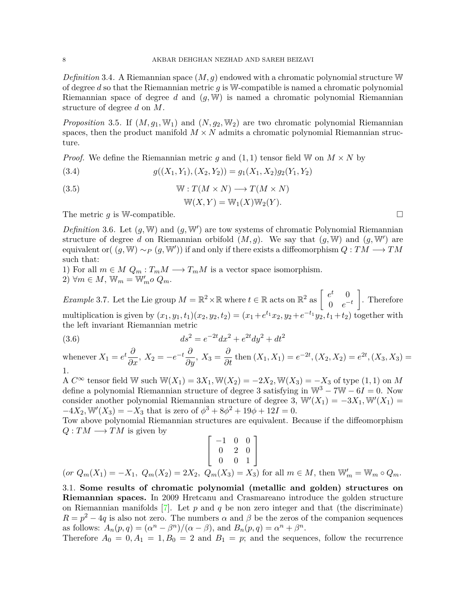*Definition* 3.4*.* A Riemannian space (*M, g*) endowed with a chromatic polynomial structure W of degree *d* so that the Riemannian metric *g* is W-compatible is named a chromatic polynomial Riemannian space of degree *d* and (*g,* W) is named a chromatic polynomial Riemannian structure of degree *d* on *M*.

*Proposition* 3.5. If  $(M, g_1, W_1)$  and  $(N, g_2, W_2)$  are two chromatic polynomial Riemannian spaces, then the product manifold  $M \times N$  admits a chromatic polynomial Riemannian structure.

*Proof.* We define the Riemannian metric *g* and  $(1, 1)$  tensor field W on  $M \times N$  by

(3.4) 
$$
g((X_1, Y_1), (X_2, Y_2)) = g_1(X_1, X_2)g_2(Y_1, Y_2)
$$

(3.5) 
$$
\mathbb{W}: T(M \times N) \longrightarrow T(M \times N)
$$

$$
\mathbb{W}(X,Y) = \mathbb{W}_1(X)\mathbb{W}_2(Y).
$$

The metric  $q$  is W-compatible.  $\Box$ 

*Definition* 3.6*.* Let (*g,* W) and (*g,* W*′* ) are tow systems of chromatic Polynomial Riemannian structure of degree *d* on Riemannian orbifold  $(M, g)$ . We say that  $(g, W)$  and  $(g, W')$  are equivalent or( (*g,* W) *∼<sup>P</sup>* (*g,* W*′* )) if and only if there exists a diffeomorphism *Q* : *TM −→ TM* such that:

1) For all  $m \in M$   $Q_m : T_mM \longrightarrow T_mM$  is a vector space isomorphism.  $2)$   $\forall m \in M$ ,  $\mathbb{W}_m = \mathbb{W}'_m$ o  $Q_m$ .

*Example* 3.7. Let the Lie group  $M = \mathbb{R}^2 \times \mathbb{R}$  where  $t \in \mathbb{R}$  acts on  $\mathbb{R}^2$  as  $\begin{bmatrix} e^t & 0 \\ 0 & e^{-t} \end{bmatrix}$  $0 \quad e^{-t}$ ] . Therefore multiplication is given by  $(x_1, y_1, t_1)(x_2, y_2, t_2) = (x_1 + e^{t_1}x_2, y_2 + e^{-t_1}y_2, t_1 + t_2)$  together with the left invariant Riemannian metric

(3.6) 
$$
ds^2 = e^{-2t}dx^2 + e^{2t}dy^2 + dt^2
$$

whenever  $X_1 = e^t \frac{\partial}{\partial x}$ ,  $X_2 = -e^{-t} \frac{\partial}{\partial y}$ ,  $X_3 = \frac{\partial}{\partial t}$  then  $(X_1, X_1) = e^{-2t}$ ,  $(X_2, X_2) = e^{2t}$ ,  $(X_3, X_3) =$ 1.

A *C<sup>∞</sup>* tensor field W such W(*X*1) = 3*X*1*,* W(*X*2) = *−*2*X*2*,* W(*X*3) = *−X*<sup>3</sup> of type (1*,* 1) on *M* define a polynomial Riemannian structure of degree 3 satisfying in W<sup>3</sup> *−* 7W *−* 6*I* = 0. Now consider another polynomial Riemannian structure of degree 3,  $\mathbb{W}'(X_1) = -3X_1, \mathbb{W}'(X_1) =$  $-4X_2$ , W<sup>*′*</sup>( $X_3$ ) =  $-X_3$  that is zero of  $\phi^3 + 8\phi^2 + 19\phi + 12I = 0$ .

Tow above polynomial Riemannian structures are equivalent. Because if the diffeomorphism  $Q: TM \longrightarrow TM$  is given by

$$
\begin{bmatrix} -1 & 0 & 0 \ 0 & 2 & 0 \ 0 & 0 & 1 \end{bmatrix}
$$
  
(or  $Q_m(X_1) = -X_1$ ,  $Q_m(X_2) = 2X_2$ ,  $Q_m(X_3) = X_3$ ) for all  $m \in M$ , then  $\mathbb{W}'_m = \mathbb{W}_m \circ Q_m$ .

3.1. **Some results of chromatic polynomial (metallic and golden) structures on Riemannian spaces.** In 2009 Hretcanu and Crasmareano introduce the golden structure on Riemannian manifolds  $[7]$  $[7]$ . Let p and q be non zero integer and that (the discriminate)  $R = p^2 - 4q$  is also not zero. The numbers  $\alpha$  and  $\beta$  be the zeros of the companion sequences as follows:  $A_n(p,q) = (\alpha^n - \beta^n)/(\alpha - \beta)$ , and  $B_n(p,q) = \alpha^n + \beta^n$ .

Therefore  $A_0 = 0, A_1 = 1, B_0 = 2$  and  $B_1 = p$ ; and the sequences, follow the recurrence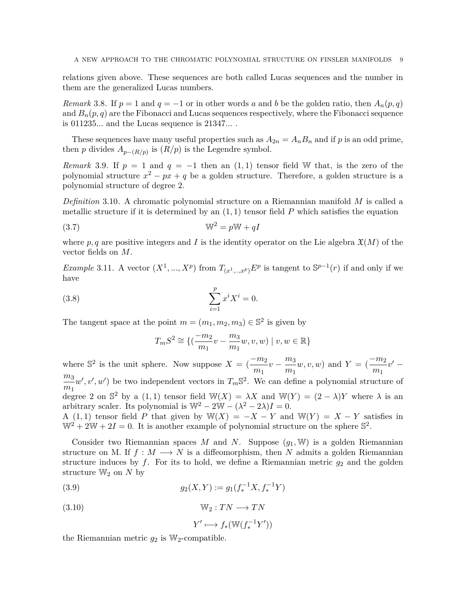relations given above. These sequences are both called Lucas sequences and the number in them are the generalized Lucas numbers.

*Remark* 3.8. If  $p = 1$  and  $q = -1$  or in other words *a* and *b* be the golden ratio, then  $A_n(p,q)$ and  $B_n(p,q)$  are the Fibonacci and Lucas sequences respectively, where the Fibonacci sequence is 011235*...* and the Lucas sequence is 21347*...* .

These sequences have many useful properties such as  $A_{2n} = A_n B_n$  and if p is an odd prime, then *p* divides  $A_{p-(R/p)}$  is  $(R/p)$  is the Legendre symbol.

*Remark* 3.9. If  $p = 1$  and  $q = -1$  then an  $(1, 1)$  tensor field W that, is the zero of the polynomial structure *x* <sup>2</sup> *− px* + *q* be a golden structure. Therefore, a golden structure is a polynomial structure of degree 2.

*Definition* 3.10*.* A chromatic polynomial structure on a Riemannian manifold *M* is called a metallic structure if it is determined by an  $(1, 1)$  tensor field  $P$  which satisfies the equation

$$
(3.7) \t\t\t W^2 = pW + qI
$$

where p, q are positive integers and I is the identity operator on the Lie algebra  $\mathfrak{X}(M)$  of the vector fields on *M*.

*Example* 3.11. A vector  $(X^1, ..., X^p)$  from  $T_{(x^1, ..., x^p)}E^p$  is tangent to  $\mathbb{S}^{p-1}(r)$  if and only if we have

(3.8) 
$$
\sum_{i=1}^{p} x^{i} X^{i} = 0.
$$

The tangent space at the point  $m = (m_1, m_2, m_3) \in \mathbb{S}^2$  is given by

$$
T_m S^2 \cong \{ (\frac{-m_2}{m_1}v - \frac{m_3}{m_1}w, v, w) \mid v, w \in \mathbb{R} \}
$$

where  $\mathbb{S}^2$  is the unit sphere. Now suppose  $X = \left(\frac{-m_2}{m_1}\right)$  $\frac{m_2}{m_1}v - \frac{m_3}{m_1}$ *m*<sup>1</sup> *w*, *v*, *w*) and  $Y = \left(\frac{-m_2}{\sigma}\right)$  $\frac{m_2}{m_1}v'$ *m*<sup>3</sup>  $\frac{m_3}{m_1}$  *w'*, *v'*, *w'*) be two independent vectors in  $T_m$  <sup>S2</sup>. We can define a polynomial structure of degree 2 on  $\mathbb{S}^2$  by a (1,1) tensor field  $\mathbb{W}(X) = \lambda X$  and  $\mathbb{W}(Y) = (2 - \lambda)Y$  where  $\lambda$  is an arbitrary scaler. Its polynomial is  $\mathbb{W}^2 - 2\mathbb{W} - (\lambda^2 - 2\lambda)I = 0$ . A (1,1) tensor field *P* that given by  $\mathbb{W}(X) = -X - Y$  and  $\mathbb{W}(Y) = X - Y$  satisfies in  $\mathbb{W}^2 + 2\mathbb{W} + 2I = 0$ . It is another example of polynomial structure on the sphere  $\mathbb{S}^2$ .

Consider two Riemannian spaces *M* and *N*. Suppose  $(q_1, W)$  is a golden Riemannian structure on M. If  $f : M \longrightarrow N$  is a diffeomorphism, then N admits a golden Riemannian structure induces by  $f$ . For its to hold, we define a Riemannian metric  $g_2$  and the golden structure  $\mathbb{W}_2$  on  $N$  by

(3.9) 
$$
g_2(X,Y) := g_1(f_*^{-1}X, f_*^{-1}Y)
$$

(3.10) W<sup>2</sup> : *T N −→ T N*

$$
Y' \longmapsto f_*(\mathbb{W}(f_*^{-1}Y'))
$$

the Riemannian metric  $g_2$  is  $\mathbb{W}_2$ -compatible.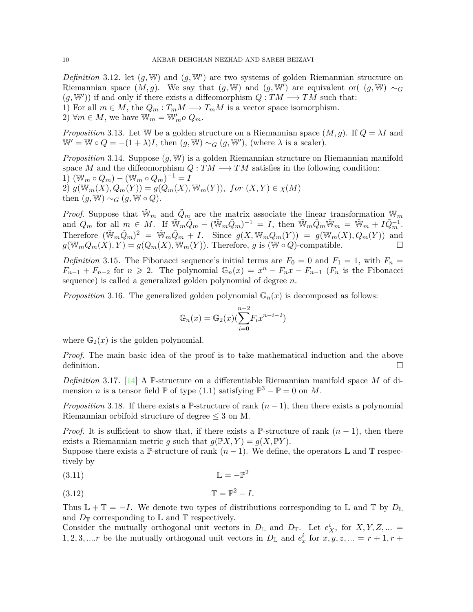*Definition* 3.12*.* let (*g,* W) and (*g,* W*′* ) are two systems of golden Riemannian structure on Riemannian space  $(M, g)$ . We say that  $(g, W)$  and  $(g, W')$  are equivalent or(  $(g, W) \sim_G$  $(g, \mathbb{W}')$  if and only if there exists a diffeomorphism  $Q: TM \longrightarrow TM$  such that: 1) For all  $m \in M$ , the  $Q_m: T_mM \longrightarrow T_mM$  is a vector space isomorphism.

2)  $\forall m \in M$ , we have  $\mathbb{W}_m = \mathbb{W}'_m o Q_m$ .

*Proposition* 3.13. Let W be a golden structure on a Riemannian space  $(M, g)$ . If  $Q = \lambda I$  and  $W' = W \circ Q = -(1 + \lambda)I$ , then  $(g, W) \sim_G (g, W')$ , (where  $\lambda$  is a scaler).

*Proposition* 3.14*.* Suppose (*g,* W) is a golden Riemannian structure on Riemannian manifold space M and the diffeomorphism  $Q: TM \longrightarrow TM$  satisfies in the following condition: 1)  $(\mathbb{W}_m \circ Q_m) - (\mathbb{W}_m \circ Q_m)^{-1} = I$ 2)  $g(\mathbb{W}_m(X), Q_m(Y)) = g(Q_m(X), \mathbb{W}_m(Y)), \text{ for } (X, Y) \in \chi(M)$ then  $(g, \mathbb{W}) \sim_G (g, \mathbb{W} \circ Q)$ .

*Proof.* Suppose that  $\tilde{W}_m$  and  $\tilde{Q}_m$  are the matrix associate the linear transformation  $W_m$ and  $Q_m$  for all  $m \in M$ . If  $\widetilde{\mathbb{W}}_m \widetilde{Q}_m - (\widetilde{\mathbb{W}}_m \widetilde{Q}_m)^{-1} = I$ , then  $\widetilde{\mathbb{W}}_m \widetilde{Q}_m \widetilde{\mathbb{W}}_m = \widetilde{\mathbb{W}}_m + I \widetilde{Q}_m^{-1}$ . Therefore  $(\tilde{W}_m \tilde{Q}_m)^2 = \tilde{W}_m \tilde{Q}_m + I$ . Since  $g(X, W_m Q_m(Y)) = g(W_m(X), Q_m(Y))$  and  $g(\mathbb{W}_m Q_m(X), Y) = g(Q_m(X), \mathbb{W}_m(Y))$ . Therefore, *g* is ( $\mathbb{W} \circ Q$ )-compatible. □

*Definition* 3.15. The Fibonacci sequence's initial terms are  $F_0 = 0$  and  $F_1 = 1$ , with  $F_n =$  $F_{n-1} + F_{n-2}$  for  $n \ge 2$ . The polynomial  $\mathbb{G}_n(x) = x^n - F_n x - F_{n-1}$  ( $F_n$  is the Fibonacci sequence) is called a generalized golden polynomial of degree *n*.

*Proposition* 3.16. The generalized golden polynomial  $\mathbb{G}_n(x)$  is decomposed as follows:

$$
\mathbb{G}_n(x) = \mathbb{G}_2(x) \left( \sum_{i=0}^{n-2} F_i x^{n-i-2} \right)
$$

where  $\mathbb{G}_2(x)$  is the golden polynomial.

*Proof.* The main basic idea of the proof is to take mathematical induction and the above definition.  $\Box$ 

*Definition* 3.17*.* [\[14](#page-15-14)] A P-structure on a differentiable Riemannian manifold space *M* of dimension *n* is a tensor field  $\mathbb{P}$  of type (1.1) satisfying  $\mathbb{P}^3 - \mathbb{P} = 0$  on *M*.

*Proposition* 3.18*.* If there exists a P-structure of rank  $(n-1)$ , then there exists a polynomial Riemannian orbifold structure of degree *≤* 3 on M.

*Proof.* It is sufficient to show that, if there exists a P-structure of rank  $(n-1)$ , then there exists a Riemannian metric *g* such that  $g(\mathbb{P}X, Y) = g(X, \mathbb{P}Y)$ .

Suppose there exists a P-structure of rank  $(n-1)$ . We define, the operators L and T respectively by

(3.11) L = *−*P 2

(3.12) T = P <sup>2</sup> *− I.*

Thus  $\mathbb{L} + \mathbb{T} = -I$ . We denote two types of distributions corresponding to  $\mathbb{L}$  and  $\mathbb{T}$  by  $D_{\mathbb{L}}$ and  $D_{\mathbb{T}}$  corresponding to  $\mathbb{L}$  and  $\mathbb{T}$  respectively.

Consider the mutually orthogonal unit vectors in  $D_{\mathbb{L}}$  and  $D_{\mathbb{L}}$ . Let  $e^i_X$ , for  $X, Y, Z, ...$ 1, 2, 3, ....*r* be the mutually orthogonal unit vectors in  $D_{\mathbb{L}}$  and  $e_x^i$  for  $x, y, z, ... = r + 1, r +$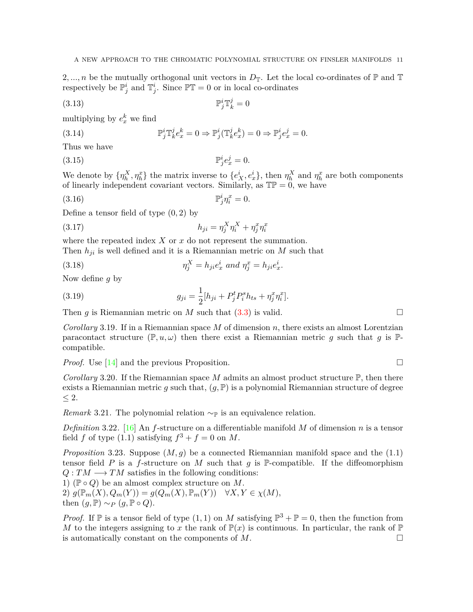2, ..., *n* be the mutually orthogonal unit vectors in  $D_{\mathbb{T}}$ . Let the local co-ordinates of  $\mathbb{P}$  and  $\mathbb{T}$ respectively be  $\mathbb{P}_j^i$  and  $\mathbb{T}_j^i$ . Since  $\mathbb{PT}=0$  or in local co-ordinates

$$
\mathbb{P}_j^i \mathbb{T}_k^j = 0
$$

multiplying by  $e^k_x$  we find

(3.14) 
$$
\mathbb{P}_j^i \mathbb{T}_k^j e_x^k = 0 \Rightarrow \mathbb{P}_j^i (\mathbb{T}_k^j e_x^k) = 0 \Rightarrow \mathbb{P}_j^i e_x^j = 0.
$$

Thus we have

 $(3.15)$  $i_j e_x^j = 0.$ 

We denote by  $\{\eta^X_h, \eta^x_h\}$  the matrix inverse to  $\{e^i_X, e^i_x\}$ , then  $\eta^X_h$  and  $\eta^x_h$  are both components of linearly independent covariant vectors. Similarly, as  $\mathbb{TP} = 0$ , we have

$$
\mathbb{P}_j^i \eta_i^x = 0.
$$

Define a tensor field of type (0*,* 2) by

(3.17) 
$$
h_{ji} = \eta_j^X \eta_i^X + \eta_j^x \eta_i^x
$$

where the repeated index *X* or *x* do not represent the summation. Then  $h_{ji}$  is well defined and it is a Riemannian metric on  $M$  such that

(3.18) 
$$
\eta_j^X = h_{ji} e_x^i \text{ and } \eta_j^x = h_{ji} e_x^i.
$$

Now define *g* by

(3.19) 
$$
g_{ji} = \frac{1}{2} [h_{ji} + P_j^t P_i^s h_{ts} + \eta_j^x \eta_i^x].
$$

Then  $g$  is Riemannian metric on  $M$  such that  $(3.3)$  $(3.3)$  is valid. □

*Corollary* 3.19*.* If in a Riemannian space *M* of dimension *n*, there exists an almost Lorentzian paracontact structure  $(\mathbb{P}, u, \omega)$  then there exist a Riemannian metric *g* such that *g* is  $\mathbb{P}$ compatible.

*Proof.* Use [[14\]](#page-15-14) and the previous Proposition. □

*Corollary* 3.20. If the Riemannian space M admits an almost product structure  $\mathbb{P}$ , then there exists a Riemannian metric *g* such that,  $(g, \mathbb{P})$  is a polynomial Riemannian structure of degree *≤* 2.

*Remark* 3.21. The polynomial relation  $~\sim_{\mathbb{P}}$  is an equivalence relation.

*Definition* 3.22*.* [[16](#page-15-15)] An *f*-structure on a differentiable manifold *M* of dimension *n* is a tensor field *f* of type  $(1.1)$  satisfying  $f^3 + f = 0$  on *M*.

*Proposition* 3.23. Suppose  $(M, g)$  be a connected Riemannian manifold space and the  $(1.1)$ tensor field *P* is a *f*-structure on *M* such that *g* is P-compatible. If the diffeomorphism  $Q: TM \longrightarrow TM$  satisfies in the following conditions:

1) (P *◦ Q*) be an almost complex structure on *M*.  $2)$   $g(\mathbb{P}_m(X), Q_m(Y)) = g(Q_m(X), \mathbb{P}_m(Y)) \quad \forall X, Y \in \chi(M),$ then  $(g, \mathbb{P}) \sim_P (g, \mathbb{P} \circ Q)$ .

*Proof.* If  $\mathbb P$  is a tensor field of type  $(1,1)$  on *M* satisfying  $\mathbb P^3 + \mathbb P = 0$ , then the function from *M* to the integers assigning to *x* the rank of  $\mathbb{P}(x)$  is continuous. In particular, the rank of  $\mathbb{P}$ is automatically constant on the components of  $M$ .  $\Box$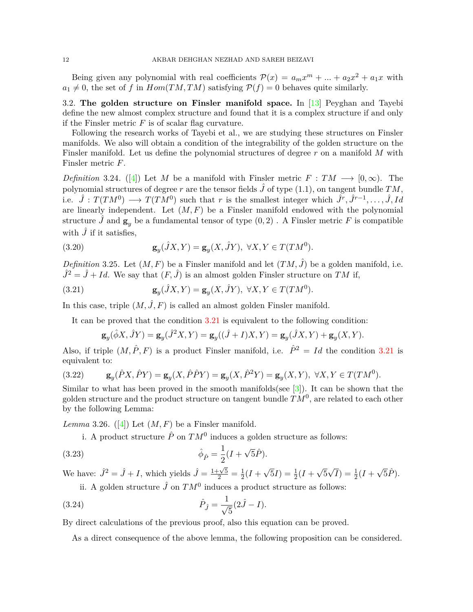Being given any polynomial with real coefficients  $\mathcal{P}(x) = a_m x^m + \dots + a_2 x^2 + a_1 x$  with  $a_1 \neq 0$ , the set of *f* in  $Hom(TM, TM)$  satisfying  $P(f) = 0$  behaves quite similarly.

3.2. **The golden structure on Finsler manifold space.** In [\[13](#page-15-7)] Peyghan and Tayebi define the new almost complex structure and found that it is a complex structure if and only if the Finsler metric  $F$  is of scalar flag curvature.

Following the research works of Tayebi et al., we are studying these structures on Finsler manifolds. We also will obtain a condition of the integrability of the golden structure on the Finsler manifold. Let us define the polynomial structures of degree *r* on a manifold *M* with Finsler metric *F*.

*Definition* 3.24*.* ([[4\]](#page-15-3)) Let *M* be a manifold with Finsler metric  $F: TM \longrightarrow [0,\infty)$ . The polynomial structures of degree *r* are the tensor fields  $\hat{J}$  of type (1.1), on tangent bundle  $TM$ , i.e.  $\hat{J}: T(TM^0) \longrightarrow T(TM^0)$  such that *r* is the smallest integer which  $\hat{J}^r, \hat{J}^{r-1}, \ldots, \hat{J}, Id$ are linearly independent. Let  $(M, F)$  be a Finsler manifold endowed with the polynomial structure  $\hat{J}$  and  $\mathbf{g}_y$  be a fundamental tensor of type  $(0, 2)$ . A Finsler metric F is compatible with  $\hat{J}$  if it satisfies,

(3.20) 
$$
\mathbf{g}_y(\hat{J}X,Y) = \mathbf{g}_y(X,\hat{J}Y), \ \forall X,Y \in T(TM^0).
$$

*Definition* 3.25. Let  $(M, F)$  be a Finsler manifold and let  $(TM, \hat{J})$  be a golden manifold, i.e.  $\hat{J}^2 = \hat{J} + Id$ . We say that  $(F, \hat{J})$  is an almost golden Finsler structure on *TM* if,

(3.21) 
$$
\mathbf{g}_y(\hat{J}X,Y) = \mathbf{g}_y(X,\hat{J}Y), \ \forall X,Y \in T(TM^0).
$$

In this case, triple  $(M, \hat{J}, F)$  is called an almost golden Finsler manifold.

It can be proved that the condition [3.21](#page-11-0) is equivalent to the following condition:

<span id="page-11-0"></span>
$$
\mathbf{g}_y(\hat{\phi}X,\hat{J}Y) = \mathbf{g}_y(\hat{J}^2X,Y) = \mathbf{g}_y((\hat{J}+I)X,Y) = \mathbf{g}_y(\hat{J}X,Y) + \mathbf{g}_y(X,Y).
$$

Also, if triple  $(M, \hat{P}, F)$  is a product Finsler manifold, i.e.  $\hat{P}^2 = Id$  the condition [3.21](#page-11-0) is equivalent to:

(3.22) 
$$
\mathbf{g}_y(\hat{P}X, \hat{P}Y) = \mathbf{g}_y(X, \hat{P}\hat{P}Y) = \mathbf{g}_y(X, \hat{P}^2Y) = \mathbf{g}_y(X, Y), \ \forall X, Y \in T(TM^0).
$$

Similar to what has been proved in the smooth manifolds(see  $[3]$  $[3]$  $[3]$ ). It can be shown that the golden structure and the product structure on tangent bundle  $\overline{TM}^0$ , are related to each other by the following Lemma:

*Lemma* 3.26*.* ([[4](#page-15-3)]) Let  $(M, F)$  be a Finsler manifold.

i. A product structure  $\hat{P}$  on  $TM^0$  induces a golden structure as follows:

(3.23) 
$$
\hat{\phi}_{\hat{P}} = \frac{1}{2}(I + \sqrt{5}\hat{P}).
$$

We have:  $\hat{J}^2 = \hat{J} + I$ , which yields  $\hat{J} = \frac{1+\sqrt{5}}{2} = \frac{1}{2}$  $rac{1}{2}(I +$  $\sqrt{5}I) = \frac{1}{2}(I +$ *√* 5  $\sqrt{I}$ ) =  $\frac{1}{2}(I +$ *√* 5*P*ˆ)*.*

ii. A golden structure  $\hat{J}$  on  $TM^0$  induces a product structure as follows:

(3.24) 
$$
\hat{P}_{\hat{J}} = \frac{1}{\sqrt{5}} (2\hat{J} - I).
$$

By direct calculations of the previous proof, also this equation can be proved.

As a direct consequence of the above lemma, the following proposition can be considered.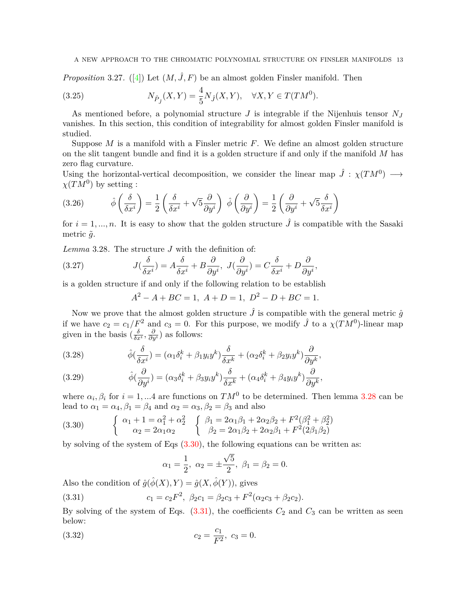*Proposition* 3.27. ([\[4\]](#page-15-3)) Let  $(M, \hat{J}, F)$  be an almost golden Finsler manifold. Then

(3.25) 
$$
N_{\hat{P}_{j}}(X,Y) = \frac{4}{5}N_{j}(X,Y), \quad \forall X, Y \in T(TM^{0}).
$$

As mentioned before, a polynomial structure *J* is integrable if the Nijenhuis tensor *N<sup>J</sup>* vanishes. In this section, this condition of integrability for almost golden Finsler manifold is studied.

Suppose *M* is a manifold with a Finsler metric *F*. We define an almost golden structure on the slit tangent bundle and find it is a golden structure if and only if the manifold *M* has zero flag curvature.

Using the horizontal-vertical decomposition, we consider the linear map  $\hat{J}$  :  $\chi(TM^0) \longrightarrow$  $\chi(TM^0)$  by setting :

(3.26) 
$$
\hat{\phi}\left(\frac{\delta}{\delta x^{i}}\right) = \frac{1}{2}\left(\frac{\delta}{\delta x^{i}} + \sqrt{5}\frac{\partial}{\partial y^{i}}\right) \hat{\phi}\left(\frac{\partial}{\partial y^{i}}\right) = \frac{1}{2}\left(\frac{\partial}{\partial y^{i}} + \sqrt{5}\frac{\delta}{\delta x^{i}}\right)
$$

for  $i = 1, ..., n$ . It is easy to show that the golden structure  $\hat{J}$  is compatible with the Sasaki metric  $\tilde{q}$ .

<span id="page-12-0"></span>*Lemma* 3.28*.* The structure *J* with the definition of:

(3.27) 
$$
J(\frac{\delta}{\delta x^i}) = A \frac{\delta}{\delta x^i} + B \frac{\partial}{\partial y^i}, \ J(\frac{\partial}{\partial y^i}) = C \frac{\delta}{\delta x^i} + D \frac{\partial}{\partial y^i},
$$

is a golden structure if and only if the following relation to be establish

$$
A^2 - A + BC = 1, A + D = 1, D^2 - D + BC = 1.
$$

Now we prove that the almost golden structure  $\hat{J}$  is compatible with the general metric  $\hat{g}$ if we have  $c_2 = c_1/F^2$  and  $c_3 = 0$ . For this purpose, we modify  $\hat{J}$  to a  $\chi(TM^0)$ -linear map given in the basis  $(\frac{\delta}{\delta x^i}, \frac{\partial}{\partial y^i})$  as follows:

(3.28) 
$$
\hat{\phi}(\frac{\delta}{\delta x^i}) = (\alpha_1 \delta_i^k + \beta_1 y_i y^k) \frac{\delta}{\delta x^k} + (\alpha_2 \delta_i^k + \beta_2 y_i y^k) \frac{\partial}{\partial y^k},
$$

(3.29) 
$$
\hat{\phi}(\frac{\partial}{\partial y^i}) = (\alpha_3 \delta_i^k + \beta_3 y_i y^k) \frac{\delta}{\delta x^k} + (\alpha_4 \delta_i^k + \beta_4 y_i y^k) \frac{\partial}{\partial y^k},
$$

where  $\alpha_i, \beta_i$  for  $i = 1, \dots 4$  are functions on  $TM^0$  to be determined. Then lemma [3.28](#page-12-0) can be lead to  $\alpha_1 = \alpha_4, \beta_1 = \beta_4$  and  $\alpha_2 = \alpha_3, \beta_2 = \beta_3$  and also

<span id="page-12-1"></span>(3.30) 
$$
\begin{cases} \alpha_1 + 1 = \alpha_1^2 + \alpha_2^2 \\ \alpha_2 = 2\alpha_1\alpha_2 \end{cases} \begin{cases} \beta_1 = 2\alpha_1\beta_1 + 2\alpha_2\beta_2 + F^2(\beta_1^2 + \beta_2^2) \\ \beta_2 = 2\alpha_1\beta_2 + 2\alpha_2\beta_1 + F^2(2\beta_1\beta_2) \end{cases}
$$

by solving of the system of Eqs [\(3.30](#page-12-1)), the following equations can be written as:

<span id="page-12-2"></span>
$$
\alpha_1 = \frac{1}{2}, \ \alpha_2 = \pm \frac{\sqrt{5}}{2}, \ \beta_1 = \beta_2 = 0.
$$

Also the condition of  $\hat{g}(\hat{\phi}(X), Y) = \hat{g}(X, \hat{\phi}(Y))$ , gives

(3.31) 
$$
c_1 = c_2 F^2, \ \beta_2 c_1 = \beta_2 c_3 + F^2(\alpha_2 c_3 + \beta_2 c_2).
$$

By solving of the system of Eqs.  $(3.31)$  $(3.31)$ , the coefficients  $C_2$  and  $C_3$  can be written as seen below:

(3.32) 
$$
c_2 = \frac{c_1}{F^2}, \ c_3 = 0.
$$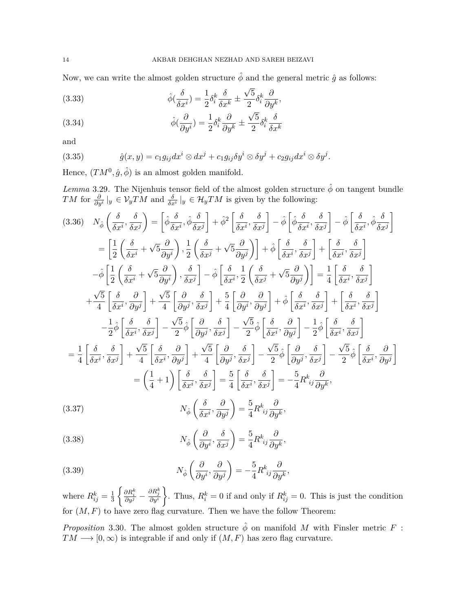Now, we can write the almost golden structure  $\hat{\phi}$  and the general metric  $\hat{g}$  as follows:

(3.33) 
$$
\hat{\phi}\left(\frac{\delta}{\delta x^{i}}\right) = \frac{1}{2}\delta_{i}^{k}\frac{\delta}{\delta x^{k}} \pm \frac{\sqrt{5}}{2}\delta_{i}^{k}\frac{\partial}{\partial y^{k}},
$$

(3.34) 
$$
\hat{\phi}(\frac{\partial}{\partial y^i}) = \frac{1}{2} \delta_i^k \frac{\partial}{\partial y^k} \pm \frac{\sqrt{5}}{2} \delta_i^k \frac{\delta}{\delta x^k}
$$

and

(3.35) 
$$
\hat{g}(x,y) = c_1 g_{ij} dx^i \otimes dx^j + c_1 g_{ij} \delta y^i \otimes \delta y^j + c_2 g_{ij} dx^i \otimes \delta y^j.
$$

Hence,  $(TM^0, \hat{g}, \hat{\phi})$  is an almost golden manifold.

*Lemma* 3.29. The Nijenhuis tensor field of the almost golden structure  $\hat{\phi}$  on tangent bundle *TM* for  $\frac{\partial}{\partial y^i}|_y \in V_yTM$  and  $\frac{\delta}{\delta x^i}|_y \in \mathcal{H}_yTM$  is given by the following:

<span id="page-13-0"></span>
$$
(3.36) \quad N_{\hat{\phi}}\left(\frac{\delta}{\delta x^{i}},\frac{\delta}{\delta x^{j}}\right) = \left[\hat{\phi}\frac{\delta}{\delta x^{i}},\hat{\phi}\frac{\delta}{\delta x^{j}}\right] + \hat{\phi}^{2}\left[\frac{\delta}{\delta x^{i}},\frac{\delta}{\delta x^{j}}\right] - \hat{\phi}\left[\hat{\phi}\frac{\delta}{\delta x^{i}},\frac{\delta}{\delta x^{j}}\right] - \hat{\phi}\left[\frac{\delta}{\delta x^{i}},\hat{\phi}\frac{\delta}{\delta x^{j}}\right]
$$
\n
$$
= \left[\frac{1}{2}\left(\frac{\delta}{\delta x^{i}} + \sqrt{5}\frac{\partial}{\partial y^{i}}\right),\frac{1}{2}\left(\frac{\delta}{\delta x^{j}} + \sqrt{5}\frac{\partial}{\partial y^{j}}\right)\right] + \hat{\phi}\left[\frac{\delta}{\delta x^{i}},\frac{\delta}{\delta x^{j}}\right] + \left[\frac{\delta}{\delta x^{i}},\frac{\delta}{\delta x^{j}}\right]
$$
\n
$$
- \hat{\phi}\left[\frac{1}{2}\left(\frac{\delta}{\delta x^{i}} + \sqrt{5}\frac{\partial}{\partial y^{i}}\right),\frac{\delta}{\delta x^{j}}\right] - \hat{\phi}\left[\frac{\delta}{\delta x^{i}},\frac{1}{2}\left(\frac{\delta}{\delta x^{j}} + \sqrt{5}\frac{\partial}{\partial y^{j}}\right)\right] = \frac{1}{4}\left[\frac{\delta}{\delta x^{i}},\frac{\delta}{\delta x^{j}}\right]
$$
\n
$$
+ \frac{\sqrt{5}}{4}\left[\frac{\delta}{\delta x^{i}},\frac{\partial}{\partial y^{j}}\right] + \frac{\sqrt{5}}{4}\left[\frac{\partial}{\partial y^{j}},\frac{\delta}{\delta x^{j}}\right] + \frac{5}{4}\left[\frac{\partial}{\partial y^{i}},\frac{\partial}{\partial y^{j}}\right] + \hat{\phi}\left[\frac{\delta}{\delta x^{i}},\frac{\delta}{\delta x^{j}}\right] + \left[\frac{\delta}{\delta x^{i}},\frac{\delta}{\delta x^{j}}\right]
$$
\n
$$
- \frac{1}{2}\hat{\phi}\left[\frac{\delta}{\delta x^{i}},\frac{\delta}{\delta x^{j}}\right] - \frac{\sqrt{5}}{2}\hat{\phi}\left[\frac{\partial}{\partial y^{j}},\frac{\delta}{\delta x^{j}}\right]
$$

<span id="page-13-2"></span><span id="page-13-1"></span>(3.38) 
$$
N_{\hat{\phi}}\left(\frac{\partial}{\partial y^i}, \frac{\delta}{\delta x^j}\right) = \frac{5}{4}R^k_{ij}\frac{\partial}{\partial y^k},
$$

<span id="page-13-3"></span>(3.39) 
$$
N_{\hat{\phi}}\left(\frac{\partial}{\partial y^i}, \frac{\partial}{\partial y^j}\right) = -\frac{5}{4}R^k_{\ ij}\frac{\partial}{\partial y^k},
$$

where  $R_{ij}^k = \frac{1}{3}$ 3  $\begin{cases} \frac{\partial R^{k}_{i}}{\partial y^{j}} - \frac{\partial R^{k}_{j}}{\partial y^{i}} \end{cases}$  $\left\{\right.$  Thus,  $R_i^k = 0$  if and only if  $R_{ij}^k = 0$ . This is just the condition for  $(M, F)$  to have zero flag curvature. Then we have the follow Theorem:

*Proposition* 3.30. The almost golden structure  $\hat{\phi}$  on manifold *M* with Finsler metric *F* :  $TM \longrightarrow [0, \infty)$  is integrable if and only if  $(M, F)$  has zero flag curvature.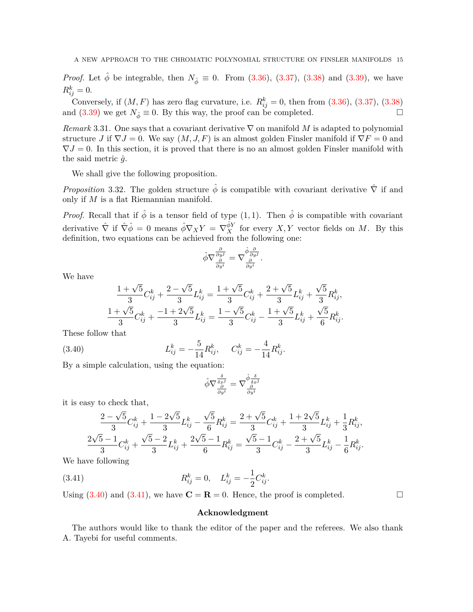*Proof.* Let  $\hat{\phi}$  be integrable, then  $N_{\hat{\phi}} \equiv 0$ . From ([3.36\)](#page-13-0), [\(3.37\)](#page-13-1), [\(3.38\)](#page-13-2) and ([3.39](#page-13-3)), we have  $R_{ij}^k = 0.$ 

Conversely, if  $(M, F)$  has zero flag curvature, i.e.  $R_{ij}^k = 0$ , then from  $(3.36)$  $(3.36)$ ,  $(3.37)$  $(3.37)$  $(3.37)$ ,  $(3.38)$ and [\(3.39\)](#page-13-3) we get  $N_{\hat{\phi}} \equiv 0$ . By this way, the proof can be completed. □

*Remark* 3.31*.* One says that a covariant derivative *∇* on manifold *M* is adapted to polynomial structure *J* if  $\nabla J = 0$ . We say  $(M, J, F)$  is an almost golden Finsler manifold if  $\nabla F = 0$  and  $\nabla J = 0$ . In this section, it is proved that there is no an almost golden Finsler manifold with the said metric  $\hat{q}$ .

We shall give the following proposition.

*Proposition* 3.32. The golden structure  $\hat{\phi}$  is compatible with covariant derivative  $\hat{\nabla}$  if and only if *M* is a flat Riemannian manifold.

*Proof.* Recall that if  $\hat{\phi}$  is a tensor field of type  $(1,1)$ . Then  $\hat{\phi}$  is compatible with covariant derivative  $\hat{\nabla}$  if  $\hat{\nabla}\hat{\phi} = 0$  means  $\hat{\phi}\nabla_X Y = \nabla_X^{\hat{\phi}Y}$  for every  $X, Y$  vector fields on M. By this definition, two equations can be achieved from the following one:

$$
\hat{\phi}\nabla \frac{\frac{\partial}{\partial y^j}}{\frac{\partial}{\partial y^i}} = \nabla \frac{\hat{\phi}\frac{\partial}{\partial y^j}}{\frac{\partial}{\partial y^i}}.
$$

We have

$$
\frac{1+\sqrt{5}}{3}C_{ij}^k + \frac{2-\sqrt{5}}{3}L_{ij}^k = \frac{1+\sqrt{5}}{3}C_{ij}^k + \frac{2+\sqrt{5}}{3}L_{ij}^k + \frac{\sqrt{5}}{3}R_{ij}^k,
$$
  

$$
\frac{1+\sqrt{5}}{3}C_{ij}^k + \frac{-1+2\sqrt{5}}{3}L_{ij}^k = \frac{1-\sqrt{5}}{3}C_{ij}^k - \frac{1+\sqrt{5}}{3}L_{ij}^k + \frac{\sqrt{5}}{6}R_{ij}^k.
$$

These follow that

(3.40) 
$$
L_{ij}^k = -\frac{5}{14} R_{ij}^k, \quad C_{ij}^k = -\frac{4}{14} R_{ij}^k.
$$

By a simple calculation, using the equation:

<span id="page-14-0"></span>
$$
\hat{\phi}\nabla \frac{\frac{\delta}{\delta x^j}}{\frac{\partial}{\partial y^i}} = \nabla \frac{\hat{\phi}}{\frac{\delta}{\delta x^j}} \frac{\frac{\delta}{\delta x^j}}{\frac{\partial}{\partial y^i}}
$$

it is easy to check that,

$$
\frac{2-\sqrt{5}}{3}C_{ij}^k + \frac{1-2\sqrt{5}}{3}L_{ij}^k - \frac{\sqrt{5}}{6}R_{ij}^k = \frac{2+\sqrt{5}}{3}C_{ij}^k + \frac{1+2\sqrt{5}}{3}L_{ij}^k + \frac{1}{3}R_{ij}^k,
$$
  

$$
\frac{2\sqrt{5}-1}{3}C_{ij}^k + \frac{\sqrt{5}-2}{3}L_{ij}^k + \frac{2\sqrt{5}-1}{6}R_{ij}^k = \frac{\sqrt{5}-1}{3}C_{ij}^k - \frac{2+\sqrt{5}}{3}L_{ij}^k - \frac{1}{6}R_{ij}^k.
$$

We have following

(3.41) 
$$
R_{ij}^k = 0, \quad L_{ij}^k = -\frac{1}{2}C_{ij}^k.
$$

Using  $(3.40)$  $(3.40)$  $(3.40)$  and  $(3.41)$  $(3.41)$  $(3.41)$ , we have  $\mathbf{C} = \mathbf{R} = 0$ . Hence, the proof is completed. □

### <span id="page-14-1"></span>**Acknowledgment**

The authors would like to thank the editor of the paper and the referees. We also thank A. Tayebi for useful comments.